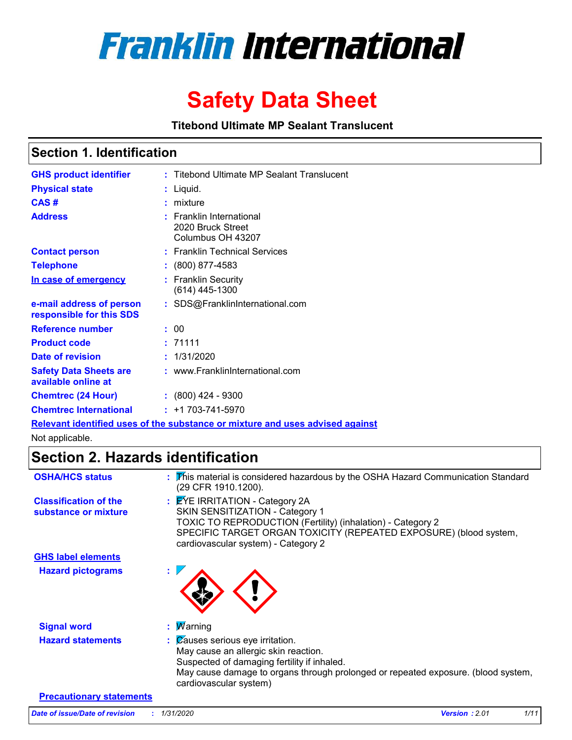

# **Safety Data Sheet**

**Titebond Ultimate MP Sealant Translucent**

### **Section 1. Identification**

| <b>GHS product identifier</b>                                                 |  | : Titebond Ultimate MP Sealant Translucent                         |  |  |  |
|-------------------------------------------------------------------------------|--|--------------------------------------------------------------------|--|--|--|
| <b>Physical state</b>                                                         |  | : Liquid.                                                          |  |  |  |
| CAS#                                                                          |  | $:$ mixture                                                        |  |  |  |
| <b>Address</b>                                                                |  | : Franklin International<br>2020 Bruck Street<br>Columbus OH 43207 |  |  |  |
| <b>Contact person</b>                                                         |  | : Franklin Technical Services                                      |  |  |  |
| <b>Telephone</b>                                                              |  | $: (800) 877 - 4583$                                               |  |  |  |
| In case of emergency                                                          |  | : Franklin Security<br>$(614)$ 445-1300                            |  |  |  |
| e-mail address of person<br>responsible for this SDS                          |  | : SDS@FranklinInternational.com                                    |  |  |  |
| <b>Reference number</b>                                                       |  | : 00                                                               |  |  |  |
| <b>Product code</b>                                                           |  | : 71111                                                            |  |  |  |
| Date of revision                                                              |  | : 1/31/2020                                                        |  |  |  |
| <b>Safety Data Sheets are</b><br>available online at                          |  | : www.FranklinInternational.com                                    |  |  |  |
| <b>Chemtrec (24 Hour)</b>                                                     |  | $: (800)$ 424 - 9300                                               |  |  |  |
| <b>Chemtrec International</b>                                                 |  | $: +1703 - 741 - 5970$                                             |  |  |  |
| Relevant identified uses of the substance or mixture and uses advised against |  |                                                                    |  |  |  |

Not applicable.

### **Section 2. Hazards identification**

| <b>OSHA/HCS status</b>                               | : This material is considered hazardous by the OSHA Hazard Communication Standard<br>(29 CFR 1910.1200).                                                                                                                                          |
|------------------------------------------------------|---------------------------------------------------------------------------------------------------------------------------------------------------------------------------------------------------------------------------------------------------|
| <b>Classification of the</b><br>substance or mixture | : EYE IRRITATION - Category 2A<br>SKIN SENSITIZATION - Category 1<br>TOXIC TO REPRODUCTION (Fertility) (inhalation) - Category 2<br>SPECIFIC TARGET ORGAN TOXICITY (REPEATED EXPOSURE) (blood system,<br>cardiovascular system) - Category 2      |
| <b>GHS label elements</b>                            |                                                                                                                                                                                                                                                   |
| <b>Hazard pictograms</b>                             |                                                                                                                                                                                                                                                   |
| <b>Signal word</b>                                   | : $M$ arning                                                                                                                                                                                                                                      |
| <b>Hazard statements</b>                             | $\therefore$ Zauses serious eye irritation.<br>May cause an allergic skin reaction.<br>Suspected of damaging fertility if inhaled.<br>May cause damage to organs through prolonged or repeated exposure. (blood system,<br>cardiovascular system) |
| <b>Precautionary statements</b>                      |                                                                                                                                                                                                                                                   |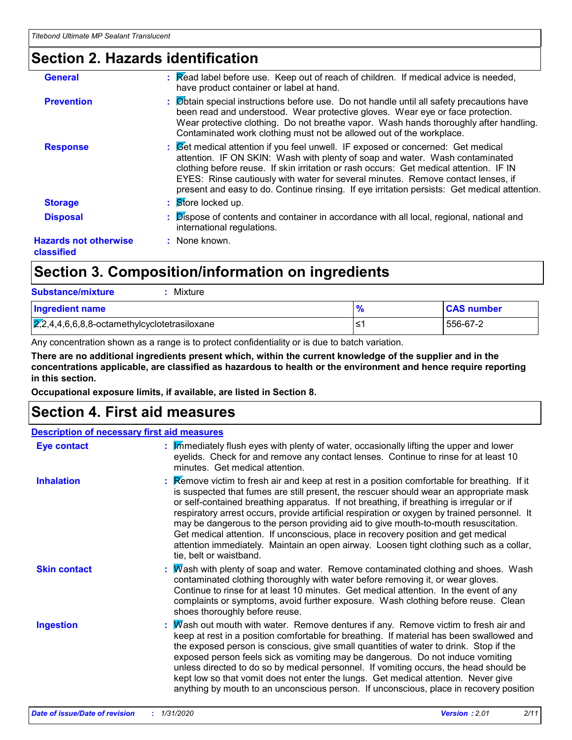### **Section 2. Hazards identification**

| <b>General</b>                             | : Read label before use. Keep out of reach of children. If medical advice is needed,<br>have product container or label at hand.                                                                                                                                                                                                                                                                                                               |
|--------------------------------------------|------------------------------------------------------------------------------------------------------------------------------------------------------------------------------------------------------------------------------------------------------------------------------------------------------------------------------------------------------------------------------------------------------------------------------------------------|
| <b>Prevention</b>                          | : Øbtain special instructions before use. Do not handle until all safety precautions have<br>been read and understood. Wear protective gloves. Wear eye or face protection.<br>Wear protective clothing. Do not breathe vapor. Wash hands thoroughly after handling.<br>Contaminated work clothing must not be allowed out of the workplace.                                                                                                   |
| <b>Response</b>                            | : Get medical attention if you feel unwell. IF exposed or concerned: Get medical<br>attention. IF ON SKIN: Wash with plenty of soap and water. Wash contaminated<br>clothing before reuse. If skin irritation or rash occurs: Get medical attention. IF IN<br>EYES: Rinse cautiously with water for several minutes. Remove contact lenses, if<br>present and easy to do. Continue rinsing. If eye irritation persists: Get medical attention. |
| <b>Storage</b>                             | : Store locked up.                                                                                                                                                                                                                                                                                                                                                                                                                             |
| <b>Disposal</b>                            | Dispose of contents and container in accordance with all local, regional, national and<br>international regulations.                                                                                                                                                                                                                                                                                                                           |
| <b>Hazards not otherwise</b><br>classified | : None known.                                                                                                                                                                                                                                                                                                                                                                                                                                  |
|                                            |                                                                                                                                                                                                                                                                                                                                                                                                                                                |

### **Section 3. Composition/information on ingredients**

| <b>Substance/mixture</b><br>Mixture                    |    |                   |
|--------------------------------------------------------|----|-------------------|
| <b>Ingredient name</b>                                 |    | <b>CAS number</b> |
| $\sqrt{2,2,4,4,6,6,8,8}$ -octamethylcyclotetrasiloxane | ≤1 | 556-67-2          |

Any concentration shown as a range is to protect confidentiality or is due to batch variation.

**There are no additional ingredients present which, within the current knowledge of the supplier and in the concentrations applicable, are classified as hazardous to health or the environment and hence require reporting in this section.**

**Occupational exposure limits, if available, are listed in Section 8.**

### **Section 4. First aid measures**

#### **Description of necessary first aid measures**

| <b>Eye contact</b>  | $\frac{1}{2}$ M mediately flush eyes with plenty of water, occasionally lifting the upper and lower<br>eyelids. Check for and remove any contact lenses. Continue to rinse for at least 10<br>minutes. Get medical attention.                                                                                                                                                                                                                                                                                                                                                                                                                                                                        |
|---------------------|------------------------------------------------------------------------------------------------------------------------------------------------------------------------------------------------------------------------------------------------------------------------------------------------------------------------------------------------------------------------------------------------------------------------------------------------------------------------------------------------------------------------------------------------------------------------------------------------------------------------------------------------------------------------------------------------------|
| <b>Inhalation</b>   | <b>Example 2</b> : Remove victim to fresh air and keep at rest in a position comfortable for breathing. If it<br>is suspected that fumes are still present, the rescuer should wear an appropriate mask<br>or self-contained breathing apparatus. If not breathing, if breathing is irregular or if<br>respiratory arrest occurs, provide artificial respiration or oxygen by trained personnel. It<br>may be dangerous to the person providing aid to give mouth-to-mouth resuscitation.<br>Get medical attention. If unconscious, place in recovery position and get medical<br>attention immediately. Maintain an open airway. Loosen tight clothing such as a collar,<br>tie, belt or waistband. |
| <b>Skin contact</b> | : Mash with plenty of soap and water. Remove contaminated clothing and shoes. Wash<br>contaminated clothing thoroughly with water before removing it, or wear gloves.<br>Continue to rinse for at least 10 minutes. Get medical attention. In the event of any<br>complaints or symptoms, avoid further exposure. Wash clothing before reuse. Clean<br>shoes thoroughly before reuse.                                                                                                                                                                                                                                                                                                                |
| <b>Ingestion</b>    | : Mash out mouth with water. Remove dentures if any. Remove victim to fresh air and<br>keep at rest in a position comfortable for breathing. If material has been swallowed and<br>the exposed person is conscious, give small quantities of water to drink. Stop if the<br>exposed person feels sick as vomiting may be dangerous. Do not induce vomiting<br>unless directed to do so by medical personnel. If vomiting occurs, the head should be<br>kept low so that vomit does not enter the lungs. Get medical attention. Never give<br>anything by mouth to an unconscious person. If unconscious, place in recovery position                                                                  |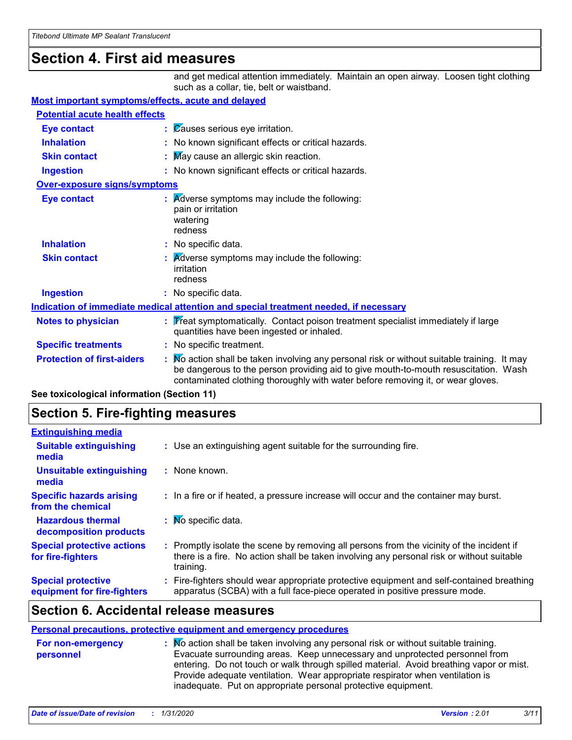### **Section 4. First aid measures**

and get medical attention immediately. Maintain an open airway. Loosen tight clothing such as a collar, tie, belt or waistband.

#### **Most important symptoms/effects, acute and delayed**

| <b>Potential acute health effects</b>                                                |  |                                                                                                                                                                                                                                                                     |  |
|--------------------------------------------------------------------------------------|--|---------------------------------------------------------------------------------------------------------------------------------------------------------------------------------------------------------------------------------------------------------------------|--|
| <b>Eye contact</b>                                                                   |  | : Causes serious eye irritation.                                                                                                                                                                                                                                    |  |
| <b>Inhalation</b>                                                                    |  | : No known significant effects or critical hazards.                                                                                                                                                                                                                 |  |
| <b>Skin contact</b>                                                                  |  | May cause an allergic skin reaction.                                                                                                                                                                                                                                |  |
| <b>Ingestion</b>                                                                     |  | : No known significant effects or critical hazards.                                                                                                                                                                                                                 |  |
| <b>Over-exposure signs/symptoms</b>                                                  |  |                                                                                                                                                                                                                                                                     |  |
| <b>Eye contact</b>                                                                   |  | <b>Adverse symptoms may include the following:</b><br>pain or irritation<br>watering<br>redness                                                                                                                                                                     |  |
| <b>Inhalation</b>                                                                    |  | : No specific data.                                                                                                                                                                                                                                                 |  |
| <b>Skin contact</b>                                                                  |  | <b>A</b> dverse symptoms may include the following:<br>irritation<br>redness                                                                                                                                                                                        |  |
| <b>Ingestion</b>                                                                     |  | : No specific data.                                                                                                                                                                                                                                                 |  |
| Indication of immediate medical attention and special treatment needed, if necessary |  |                                                                                                                                                                                                                                                                     |  |
| <b>Notes to physician</b>                                                            |  | Treat symptomatically. Contact poison treatment specialist immediately if large<br>quantities have been ingested or inhaled.                                                                                                                                        |  |
| <b>Specific treatments</b>                                                           |  | : No specific treatment.                                                                                                                                                                                                                                            |  |
| <b>Protection of first-aiders</b>                                                    |  | Mo action shall be taken involving any personal risk or without suitable training. It may<br>be dangerous to the person providing aid to give mouth-to-mouth resuscitation. Wash<br>contaminated clothing thoroughly with water before removing it, or wear gloves. |  |

**See toxicological information (Section 11)**

### **Section 5. Fire-fighting measures**

| <b>Extinguishing media</b>                               |                                                                                                                                                                                                     |
|----------------------------------------------------------|-----------------------------------------------------------------------------------------------------------------------------------------------------------------------------------------------------|
| <b>Suitable extinguishing</b><br>media                   | : Use an extinguishing agent suitable for the surrounding fire.                                                                                                                                     |
| <b>Unsuitable extinguishing</b><br>media                 | : None known.                                                                                                                                                                                       |
| <b>Specific hazards arising</b><br>from the chemical     | : In a fire or if heated, a pressure increase will occur and the container may burst.                                                                                                               |
| <b>Hazardous thermal</b><br>decomposition products       | $\mathbf{N}$ Mo specific data.                                                                                                                                                                      |
| <b>Special protective actions</b><br>for fire-fighters   | : Promptly isolate the scene by removing all persons from the vicinity of the incident if<br>there is a fire. No action shall be taken involving any personal risk or without suitable<br>training. |
| <b>Special protective</b><br>equipment for fire-fighters | : Fire-fighters should wear appropriate protective equipment and self-contained breathing<br>apparatus (SCBA) with a full face-piece operated in positive pressure mode.                            |

### **Section 6. Accidental release measures**

#### **Personal precautions, protective equipment and emergency procedures**

| <b>For non-emergency</b><br>personnel | $\therefore$ Mo action shall be taken involving any personal risk or without suitable training.<br>Evacuate surrounding areas. Keep unnecessary and unprotected personnel from<br>entering. Do not touch or walk through spilled material. Avoid breathing vapor or mist.<br>Provide adequate ventilation. Wear appropriate respirator when ventilation is |
|---------------------------------------|------------------------------------------------------------------------------------------------------------------------------------------------------------------------------------------------------------------------------------------------------------------------------------------------------------------------------------------------------------|
|                                       | inadequate. Put on appropriate personal protective equipment.                                                                                                                                                                                                                                                                                              |
|                                       |                                                                                                                                                                                                                                                                                                                                                            |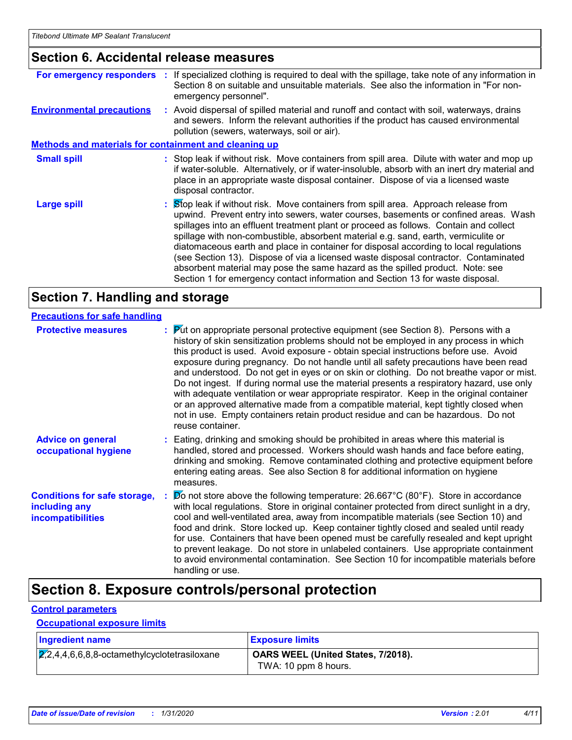### **Section 6. Accidental release measures**

|                                                              | For emergency responders : If specialized clothing is required to deal with the spillage, take note of any information in<br>Section 8 on suitable and unsuitable materials. See also the information in "For non-<br>emergency personnel".                                                                                                                                                                                                                                                                                                                                                                                                                                                                  |
|--------------------------------------------------------------|--------------------------------------------------------------------------------------------------------------------------------------------------------------------------------------------------------------------------------------------------------------------------------------------------------------------------------------------------------------------------------------------------------------------------------------------------------------------------------------------------------------------------------------------------------------------------------------------------------------------------------------------------------------------------------------------------------------|
| <b>Environmental precautions</b>                             | : Avoid dispersal of spilled material and runoff and contact with soil, waterways, drains<br>and sewers. Inform the relevant authorities if the product has caused environmental<br>pollution (sewers, waterways, soil or air).                                                                                                                                                                                                                                                                                                                                                                                                                                                                              |
| <b>Methods and materials for containment and cleaning up</b> |                                                                                                                                                                                                                                                                                                                                                                                                                                                                                                                                                                                                                                                                                                              |
| <b>Small spill</b>                                           | : Stop leak if without risk. Move containers from spill area. Dilute with water and mop up<br>if water-soluble. Alternatively, or if water-insoluble, absorb with an inert dry material and<br>place in an appropriate waste disposal container. Dispose of via a licensed waste<br>disposal contractor.                                                                                                                                                                                                                                                                                                                                                                                                     |
| <b>Large spill</b>                                           | : Stop leak if without risk. Move containers from spill area. Approach release from<br>upwind. Prevent entry into sewers, water courses, basements or confined areas. Wash<br>spillages into an effluent treatment plant or proceed as follows. Contain and collect<br>spillage with non-combustible, absorbent material e.g. sand, earth, vermiculite or<br>diatomaceous earth and place in container for disposal according to local regulations<br>(see Section 13). Dispose of via a licensed waste disposal contractor. Contaminated<br>absorbent material may pose the same hazard as the spilled product. Note: see<br>Section 1 for emergency contact information and Section 13 for waste disposal. |

### **Section 7. Handling and storage**

### **Precautions for safe handling**

| <b>Protective measures</b>                                                       | $\frac{1}{2}$ Put on appropriate personal protective equipment (see Section 8). Persons with a<br>history of skin sensitization problems should not be employed in any process in which<br>this product is used. Avoid exposure - obtain special instructions before use. Avoid<br>exposure during pregnancy. Do not handle until all safety precautions have been read<br>and understood. Do not get in eyes or on skin or clothing. Do not breathe vapor or mist.<br>Do not ingest. If during normal use the material presents a respiratory hazard, use only<br>with adequate ventilation or wear appropriate respirator. Keep in the original container<br>or an approved alternative made from a compatible material, kept tightly closed when<br>not in use. Empty containers retain product residue and can be hazardous. Do not<br>reuse container. |
|----------------------------------------------------------------------------------|-------------------------------------------------------------------------------------------------------------------------------------------------------------------------------------------------------------------------------------------------------------------------------------------------------------------------------------------------------------------------------------------------------------------------------------------------------------------------------------------------------------------------------------------------------------------------------------------------------------------------------------------------------------------------------------------------------------------------------------------------------------------------------------------------------------------------------------------------------------|
| <b>Advice on general</b><br>occupational hygiene                                 | : Eating, drinking and smoking should be prohibited in areas where this material is<br>handled, stored and processed. Workers should wash hands and face before eating,<br>drinking and smoking. Remove contaminated clothing and protective equipment before<br>entering eating areas. See also Section 8 for additional information on hygiene<br>measures.                                                                                                                                                                                                                                                                                                                                                                                                                                                                                               |
| <b>Conditions for safe storage,</b><br>including any<br><i>incompatibilities</i> | Do not store above the following temperature: $26.667^{\circ}$ C (80°F). Store in accordance<br>with local regulations. Store in original container protected from direct sunlight in a dry,<br>cool and well-ventilated area, away from incompatible materials (see Section 10) and<br>food and drink. Store locked up. Keep container tightly closed and sealed until ready<br>for use. Containers that have been opened must be carefully resealed and kept upright<br>to prevent leakage. Do not store in unlabeled containers. Use appropriate containment<br>to avoid environmental contamination. See Section 10 for incompatible materials before<br>handling or use.                                                                                                                                                                               |

### **Section 8. Exposure controls/personal protection**

#### **Control parameters**

### **Occupational exposure limits**

| <b>Ingredient name</b>                                     | <b>Exposure limits</b>                                     |
|------------------------------------------------------------|------------------------------------------------------------|
| $\overline{2,2,4,4,6,6,8,8}$ -octamethylcyclotetrasiloxane | OARS WEEL (United States, 7/2018).<br>TWA: 10 ppm 8 hours. |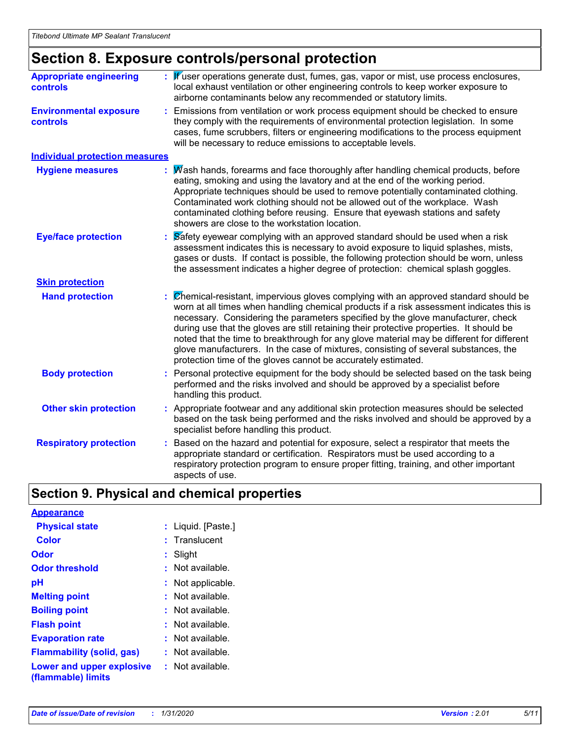## **Section 8. Exposure controls/personal protection**

| <b>Appropriate engineering</b><br>controls       | Kuser operations generate dust, fumes, gas, vapor or mist, use process enclosures,<br>local exhaust ventilation or other engineering controls to keep worker exposure to<br>airborne contaminants below any recommended or statutory limits.                                                                                                                                                                                                                                                                                                                                                                         |
|--------------------------------------------------|----------------------------------------------------------------------------------------------------------------------------------------------------------------------------------------------------------------------------------------------------------------------------------------------------------------------------------------------------------------------------------------------------------------------------------------------------------------------------------------------------------------------------------------------------------------------------------------------------------------------|
| <b>Environmental exposure</b><br><b>controls</b> | Emissions from ventilation or work process equipment should be checked to ensure<br>they comply with the requirements of environmental protection legislation. In some<br>cases, fume scrubbers, filters or engineering modifications to the process equipment<br>will be necessary to reduce emissions to acceptable levels.                                                                                                                                                                                                                                                                                        |
| <b>Individual protection measures</b>            |                                                                                                                                                                                                                                                                                                                                                                                                                                                                                                                                                                                                                      |
| <b>Hygiene measures</b>                          | Wash hands, forearms and face thoroughly after handling chemical products, before<br>eating, smoking and using the lavatory and at the end of the working period.<br>Appropriate techniques should be used to remove potentially contaminated clothing.<br>Contaminated work clothing should not be allowed out of the workplace. Wash<br>contaminated clothing before reusing. Ensure that eyewash stations and safety<br>showers are close to the workstation location.                                                                                                                                            |
| <b>Eye/face protection</b>                       | Safety eyewear complying with an approved standard should be used when a risk<br>assessment indicates this is necessary to avoid exposure to liquid splashes, mists,<br>gases or dusts. If contact is possible, the following protection should be worn, unless<br>the assessment indicates a higher degree of protection: chemical splash goggles.                                                                                                                                                                                                                                                                  |
| <b>Skin protection</b>                           |                                                                                                                                                                                                                                                                                                                                                                                                                                                                                                                                                                                                                      |
| <b>Hand protection</b>                           | Chemical-resistant, impervious gloves complying with an approved standard should be<br>worn at all times when handling chemical products if a risk assessment indicates this is<br>necessary. Considering the parameters specified by the glove manufacturer, check<br>during use that the gloves are still retaining their protective properties. It should be<br>noted that the time to breakthrough for any glove material may be different for different<br>glove manufacturers. In the case of mixtures, consisting of several substances, the<br>protection time of the gloves cannot be accurately estimated. |
| <b>Body protection</b>                           | Personal protective equipment for the body should be selected based on the task being<br>performed and the risks involved and should be approved by a specialist before<br>handling this product.                                                                                                                                                                                                                                                                                                                                                                                                                    |
| <b>Other skin protection</b>                     | Appropriate footwear and any additional skin protection measures should be selected<br>based on the task being performed and the risks involved and should be approved by a<br>specialist before handling this product.                                                                                                                                                                                                                                                                                                                                                                                              |
| <b>Respiratory protection</b>                    | Based on the hazard and potential for exposure, select a respirator that meets the<br>appropriate standard or certification. Respirators must be used according to a<br>respiratory protection program to ensure proper fitting, training, and other important<br>aspects of use.                                                                                                                                                                                                                                                                                                                                    |

### **Section 9. Physical and chemical properties**

| <b>Appearance</b>                               |                        |
|-------------------------------------------------|------------------------|
| <b>Physical state</b>                           | : Liquid. [Paste.]     |
| Color                                           | $:$ Translucent        |
| Odor                                            | : Slight               |
| <b>Odor threshold</b>                           | $\cdot$ Not available. |
| рH                                              | : Not applicable.      |
| <b>Melting point</b>                            | : Not available.       |
| <b>Boiling point</b>                            | $:$ Not available.     |
| <b>Flash point</b>                              | $:$ Not available.     |
| <b>Evaporation rate</b>                         | : Not available.       |
| <b>Flammability (solid, gas)</b>                | : Not available.       |
| Lower and upper explosive<br>(flammable) limits | : Not available.       |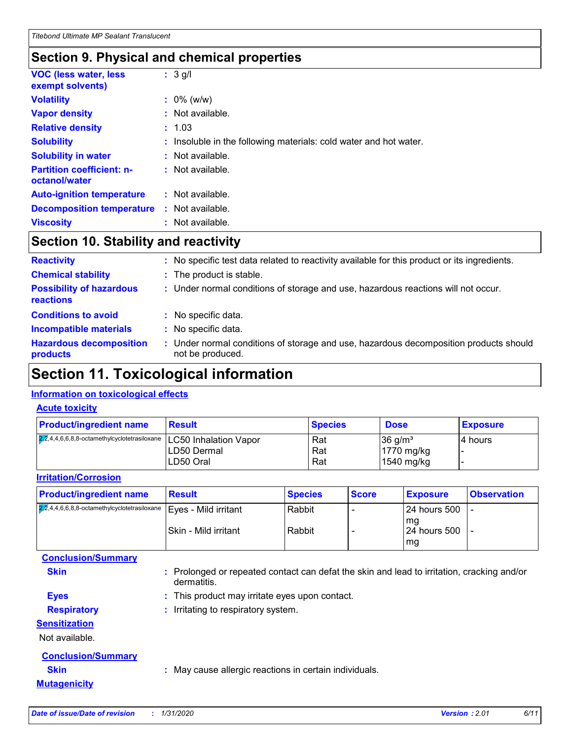### **Section 9. Physical and chemical properties**

| <b>VOC (less water, less)</b><br>exempt solvents) | $: 3$ g/l                                                         |
|---------------------------------------------------|-------------------------------------------------------------------|
| <b>Volatility</b>                                 | $: 0\%$ (w/w)                                                     |
| <b>Vapor density</b>                              | $:$ Not available.                                                |
| <b>Relative density</b>                           | : 1.03                                                            |
| <b>Solubility</b>                                 | : Insoluble in the following materials: cold water and hot water. |
| <b>Solubility in water</b>                        | : Not available.                                                  |
| <b>Partition coefficient: n-</b><br>octanol/water | : Not available.                                                  |
| <b>Auto-ignition temperature</b>                  | $:$ Not available.                                                |
| <b>Decomposition temperature</b>                  | $:$ Not available.                                                |
| <b>Viscosity</b>                                  | $:$ Not available.                                                |

### **Section 10. Stability and reactivity**

| <b>Reactivity</b>                            | No specific test data related to reactivity available for this product or its ingredients.              |
|----------------------------------------------|---------------------------------------------------------------------------------------------------------|
| <b>Chemical stability</b>                    | : The product is stable.                                                                                |
| <b>Possibility of hazardous</b><br>reactions | : Under normal conditions of storage and use, hazardous reactions will not occur.                       |
| <b>Conditions to avoid</b>                   | No specific data.                                                                                       |
| <b>Incompatible materials</b>                | No specific data.                                                                                       |
| <b>Hazardous decomposition</b><br>products   | Under normal conditions of storage and use, hazardous decomposition products should<br>not be produced. |

### **Section 11. Toxicological information**

### **Information on toxicological effects**

### **Acute toxicity**

| <b>Product/ingredient name</b>                         | <b>Result</b>         | <b>Species</b> | <b>Dose</b>           | <b>Exposure</b> |
|--------------------------------------------------------|-----------------------|----------------|-----------------------|-----------------|
| $\sqrt{2,2}$ ,4,4,6,6,8,8-octamethylcyclotetrasiloxane | LC50 Inhalation Vapor | Rat            | $36$ g/m <sup>3</sup> | 14 hours        |
|                                                        | LD50 Dermal           | Rat            | 1770 mg/kg            |                 |
|                                                        | LD50 Oral             | Rat            | $1540$ mg/kg          |                 |

#### **Irritation/Corrosion**

| <b>Product/ingredient name</b>                                                               | <b>Result</b>         | <b>Species</b> | <b>Score</b> | <b>Exposure</b>        | <b>Observation</b> |
|----------------------------------------------------------------------------------------------|-----------------------|----------------|--------------|------------------------|--------------------|
| $\overline{272,4,4,6,6,8,8}$ -octamethylcyclotetrasiloxane $ \text{Eyes - Mild irrational} $ |                       | Rabbit         |              | l 24 hours 500<br>l ma |                    |
|                                                                                              | ISkin - Mild irritant | Rabbit         |              | l 24 hours 500<br>l mg |                    |
| <b>Conclusion/Summary</b>                                                                    |                       |                |              |                        |                    |

| <b>Skin</b>               | : Prolonged or repeated contact can defat the skin and lead to irritation, cracking and/or<br>dermatitis. |
|---------------------------|-----------------------------------------------------------------------------------------------------------|
| <b>Eyes</b>               | : This product may irritate eyes upon contact.                                                            |
| <b>Respiratory</b>        | : Irritating to respiratory system.                                                                       |
| <b>Sensitization</b>      |                                                                                                           |
| Not available.            |                                                                                                           |
| <b>Conclusion/Summary</b> |                                                                                                           |
| <b>Skin</b>               | : May cause allergic reactions in certain individuals.                                                    |
| <b>Mutagenicity</b>       |                                                                                                           |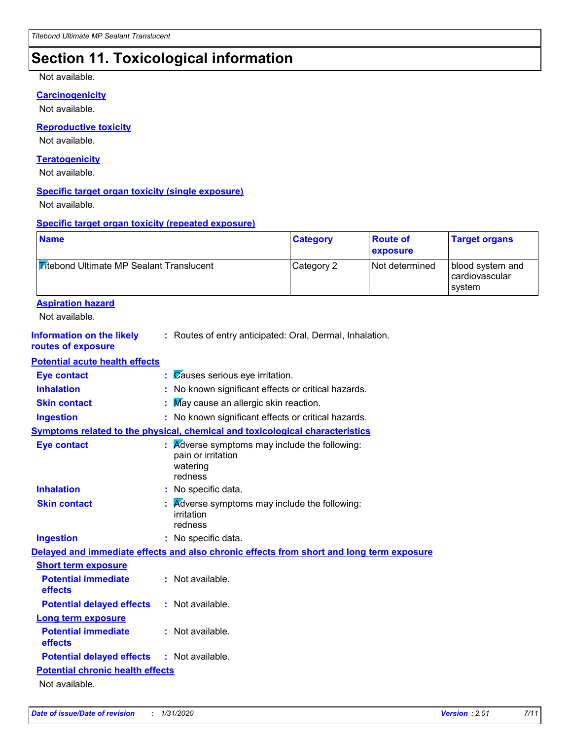### **Section 11. Toxicological information**

#### Not available.

#### **Carcinogenicity**

Not available.

### **Reproductive toxicity**

Not available.

#### **Teratogenicity**

Not available.

#### **Specific target organ toxicity (single exposure)**

Not available.

#### **Specific target organ toxicity (repeated exposure)**

| <b>Mitebond Ultimate MP Sealant Translucent</b><br><b>Aspiration hazard</b><br>Not available.<br><b>Information on the likely</b><br>: Routes of entry anticipated: Oral, Dermal, Inhalation.<br>routes of exposure<br><b>Potential acute health effects</b><br>Causes serious eye irritation.<br><b>Eye contact</b><br>÷.<br><b>Inhalation</b><br>: No known significant effects or critical hazards.<br>May cause an allergic skin reaction.<br><b>Skin contact</b><br>: No known significant effects or critical hazards.<br><b>Ingestion</b><br>Symptoms related to the physical, chemical and toxicological characteristics<br><b>Eye contact</b><br>Adverse symptoms may include the following:<br>pain or irritation<br>watering<br>redness<br><b>Inhalation</b><br>No specific data.<br><b>Skin contact</b><br>Adverse symptoms may include the following:<br>irritation<br>redness<br>: No specific data.<br><b>Ingestion</b><br>Delayed and immediate effects and also chronic effects from short and long term exposure<br><b>Short term exposure</b><br><b>Potential immediate</b><br>: Not available.<br>effects<br>: Not available.<br><b>Potential delayed effects</b><br><b>Long term exposure</b><br><b>Potential immediate</b><br>: Not available.<br>effects | <b>Category</b> | <b>Route of</b><br>exposure | <b>Target organs</b>                         |
|---------------------------------------------------------------------------------------------------------------------------------------------------------------------------------------------------------------------------------------------------------------------------------------------------------------------------------------------------------------------------------------------------------------------------------------------------------------------------------------------------------------------------------------------------------------------------------------------------------------------------------------------------------------------------------------------------------------------------------------------------------------------------------------------------------------------------------------------------------------------------------------------------------------------------------------------------------------------------------------------------------------------------------------------------------------------------------------------------------------------------------------------------------------------------------------------------------------------------------------------------------------------------------|-----------------|-----------------------------|----------------------------------------------|
|                                                                                                                                                                                                                                                                                                                                                                                                                                                                                                                                                                                                                                                                                                                                                                                                                                                                                                                                                                                                                                                                                                                                                                                                                                                                                 | Category 2      | Not determined              | blood system and<br>cardiovascular<br>system |
|                                                                                                                                                                                                                                                                                                                                                                                                                                                                                                                                                                                                                                                                                                                                                                                                                                                                                                                                                                                                                                                                                                                                                                                                                                                                                 |                 |                             |                                              |
|                                                                                                                                                                                                                                                                                                                                                                                                                                                                                                                                                                                                                                                                                                                                                                                                                                                                                                                                                                                                                                                                                                                                                                                                                                                                                 |                 |                             |                                              |
|                                                                                                                                                                                                                                                                                                                                                                                                                                                                                                                                                                                                                                                                                                                                                                                                                                                                                                                                                                                                                                                                                                                                                                                                                                                                                 |                 |                             |                                              |
|                                                                                                                                                                                                                                                                                                                                                                                                                                                                                                                                                                                                                                                                                                                                                                                                                                                                                                                                                                                                                                                                                                                                                                                                                                                                                 |                 |                             |                                              |
|                                                                                                                                                                                                                                                                                                                                                                                                                                                                                                                                                                                                                                                                                                                                                                                                                                                                                                                                                                                                                                                                                                                                                                                                                                                                                 |                 |                             |                                              |
|                                                                                                                                                                                                                                                                                                                                                                                                                                                                                                                                                                                                                                                                                                                                                                                                                                                                                                                                                                                                                                                                                                                                                                                                                                                                                 |                 |                             |                                              |
|                                                                                                                                                                                                                                                                                                                                                                                                                                                                                                                                                                                                                                                                                                                                                                                                                                                                                                                                                                                                                                                                                                                                                                                                                                                                                 |                 |                             |                                              |
|                                                                                                                                                                                                                                                                                                                                                                                                                                                                                                                                                                                                                                                                                                                                                                                                                                                                                                                                                                                                                                                                                                                                                                                                                                                                                 |                 |                             |                                              |
|                                                                                                                                                                                                                                                                                                                                                                                                                                                                                                                                                                                                                                                                                                                                                                                                                                                                                                                                                                                                                                                                                                                                                                                                                                                                                 |                 |                             |                                              |
|                                                                                                                                                                                                                                                                                                                                                                                                                                                                                                                                                                                                                                                                                                                                                                                                                                                                                                                                                                                                                                                                                                                                                                                                                                                                                 |                 |                             |                                              |
|                                                                                                                                                                                                                                                                                                                                                                                                                                                                                                                                                                                                                                                                                                                                                                                                                                                                                                                                                                                                                                                                                                                                                                                                                                                                                 |                 |                             |                                              |
|                                                                                                                                                                                                                                                                                                                                                                                                                                                                                                                                                                                                                                                                                                                                                                                                                                                                                                                                                                                                                                                                                                                                                                                                                                                                                 |                 |                             |                                              |
|                                                                                                                                                                                                                                                                                                                                                                                                                                                                                                                                                                                                                                                                                                                                                                                                                                                                                                                                                                                                                                                                                                                                                                                                                                                                                 |                 |                             |                                              |
|                                                                                                                                                                                                                                                                                                                                                                                                                                                                                                                                                                                                                                                                                                                                                                                                                                                                                                                                                                                                                                                                                                                                                                                                                                                                                 |                 |                             |                                              |
|                                                                                                                                                                                                                                                                                                                                                                                                                                                                                                                                                                                                                                                                                                                                                                                                                                                                                                                                                                                                                                                                                                                                                                                                                                                                                 |                 |                             |                                              |
|                                                                                                                                                                                                                                                                                                                                                                                                                                                                                                                                                                                                                                                                                                                                                                                                                                                                                                                                                                                                                                                                                                                                                                                                                                                                                 |                 |                             |                                              |
|                                                                                                                                                                                                                                                                                                                                                                                                                                                                                                                                                                                                                                                                                                                                                                                                                                                                                                                                                                                                                                                                                                                                                                                                                                                                                 |                 |                             |                                              |
|                                                                                                                                                                                                                                                                                                                                                                                                                                                                                                                                                                                                                                                                                                                                                                                                                                                                                                                                                                                                                                                                                                                                                                                                                                                                                 |                 |                             |                                              |
|                                                                                                                                                                                                                                                                                                                                                                                                                                                                                                                                                                                                                                                                                                                                                                                                                                                                                                                                                                                                                                                                                                                                                                                                                                                                                 |                 |                             |                                              |
| <b>Potential delayed effects</b><br>: Not available.                                                                                                                                                                                                                                                                                                                                                                                                                                                                                                                                                                                                                                                                                                                                                                                                                                                                                                                                                                                                                                                                                                                                                                                                                            |                 |                             |                                              |
| <b>Potential chronic health effects</b>                                                                                                                                                                                                                                                                                                                                                                                                                                                                                                                                                                                                                                                                                                                                                                                                                                                                                                                                                                                                                                                                                                                                                                                                                                         |                 |                             |                                              |
| Not available.                                                                                                                                                                                                                                                                                                                                                                                                                                                                                                                                                                                                                                                                                                                                                                                                                                                                                                                                                                                                                                                                                                                                                                                                                                                                  |                 |                             |                                              |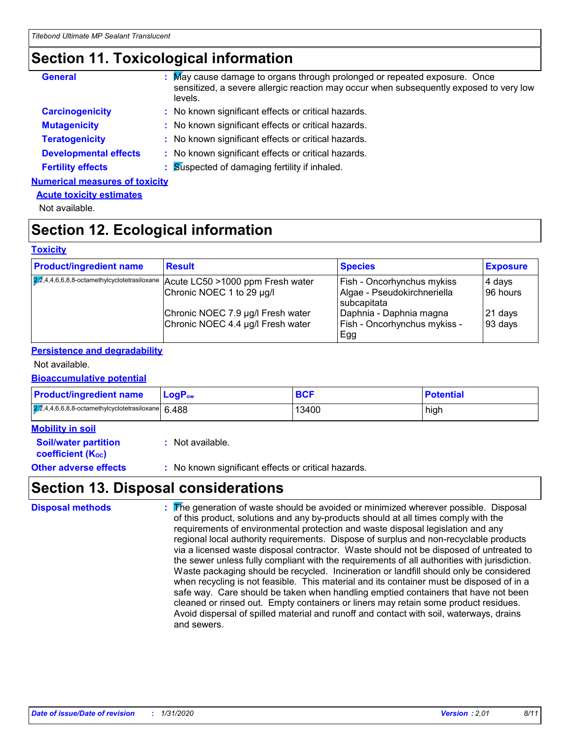### **Section 11. Toxicological information**

| <b>General</b>                        | : May cause damage to organs through prolonged or repeated exposure. Once<br>sensitized, a severe allergic reaction may occur when subsequently exposed to very low<br>levels. |
|---------------------------------------|--------------------------------------------------------------------------------------------------------------------------------------------------------------------------------|
| <b>Carcinogenicity</b>                | : No known significant effects or critical hazards.                                                                                                                            |
| <b>Mutagenicity</b>                   | : No known significant effects or critical hazards.                                                                                                                            |
| <b>Teratogenicity</b>                 | : No known significant effects or critical hazards.                                                                                                                            |
| <b>Developmental effects</b>          | : No known significant effects or critical hazards.                                                                                                                            |
| <b>Fertility effects</b>              | : Suspected of damaging fertility if inhaled.                                                                                                                                  |
| <b>Numerical measures of toxicity</b> |                                                                                                                                                                                |

### **Acute toxicity estimates**

Not available.

### **Section 12. Ecological information**

#### **Toxicity**

| <b>Product/ingredient name</b> | <b>Result</b>                                                                 | <b>Species</b>                             | <b>Exposure</b> |
|--------------------------------|-------------------------------------------------------------------------------|--------------------------------------------|-----------------|
|                                | 22,4,4,6,6,8,8-octamethylcyclotetrasiloxane Acute LC50 > 1000 ppm Fresh water | <b>Fish - Oncorhynchus mykiss</b>          | 4 days          |
|                                | Chronic NOEC 1 to 29 µg/l                                                     | Algae - Pseudokirchneriella<br>subcapitata | 96 hours        |
|                                | Chronic NOEC 7.9 µg/l Fresh water                                             | Daphnia - Daphnia magna                    | 21 days         |
|                                | Chronic NOEC 4.4 µg/l Fresh water                                             | Fish - Oncorhynchus mykiss -<br>Egg        | 93 days         |

### **Persistence and degradability**

#### Not available.

#### **Bioaccumulative potential**

| <b>Product/ingredient name</b>                        | <b>LogP</b> <sub>ow</sub> | <b>BCF</b> | <b>Potential</b> |
|-------------------------------------------------------|---------------------------|------------|------------------|
| $2,2,4,4,6,6,8,8$ -octamethylcyclotetrasiloxane 6.488 |                           | 13400      | high             |

| <b>Mobility in soil</b>                                       |                                                     |
|---------------------------------------------------------------|-----------------------------------------------------|
| <b>Soil/water partition</b><br>coefficient (K <sub>oc</sub> ) | : Not available.                                    |
| <b>Other adverse effects</b>                                  | : No known significant effects or critical hazards. |

### **Section 13. Disposal considerations**

| <b>Disposal methods</b> | The generation of waste should be avoided or minimized wherever possible. Disposal<br>of this product, solutions and any by-products should at all times comply with the<br>requirements of environmental protection and waste disposal legislation and any<br>regional local authority requirements. Dispose of surplus and non-recyclable products<br>via a licensed waste disposal contractor. Waste should not be disposed of untreated to<br>the sewer unless fully compliant with the requirements of all authorities with jurisdiction.<br>Waste packaging should be recycled. Incineration or landfill should only be considered<br>when recycling is not feasible. This material and its container must be disposed of in a<br>safe way. Care should be taken when handling emptied containers that have not been<br>cleaned or rinsed out. Empty containers or liners may retain some product residues.<br>Avoid dispersal of spilled material and runoff and contact with soil, waterways, drains<br>and sewers. |
|-------------------------|-----------------------------------------------------------------------------------------------------------------------------------------------------------------------------------------------------------------------------------------------------------------------------------------------------------------------------------------------------------------------------------------------------------------------------------------------------------------------------------------------------------------------------------------------------------------------------------------------------------------------------------------------------------------------------------------------------------------------------------------------------------------------------------------------------------------------------------------------------------------------------------------------------------------------------------------------------------------------------------------------------------------------------|
|-------------------------|-----------------------------------------------------------------------------------------------------------------------------------------------------------------------------------------------------------------------------------------------------------------------------------------------------------------------------------------------------------------------------------------------------------------------------------------------------------------------------------------------------------------------------------------------------------------------------------------------------------------------------------------------------------------------------------------------------------------------------------------------------------------------------------------------------------------------------------------------------------------------------------------------------------------------------------------------------------------------------------------------------------------------------|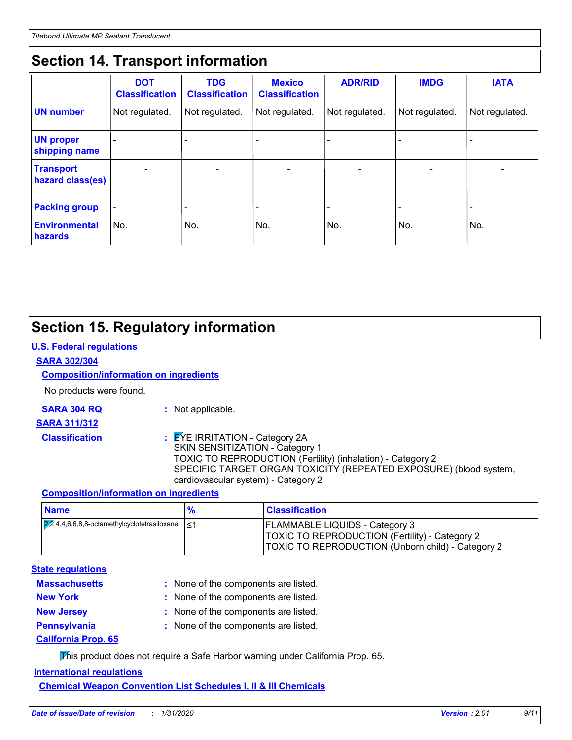### **Section 14. Transport information**

|                                      | <b>DOT</b><br><b>Classification</b> | <b>TDG</b><br><b>Classification</b> | <b>Mexico</b><br><b>Classification</b> | <b>ADR/RID</b>           | <b>IMDG</b>              | <b>IATA</b>              |
|--------------------------------------|-------------------------------------|-------------------------------------|----------------------------------------|--------------------------|--------------------------|--------------------------|
| <b>UN number</b>                     | Not regulated.                      | Not regulated.                      | Not regulated.                         | Not regulated.           | Not regulated.           | Not regulated.           |
| <b>UN proper</b><br>shipping name    |                                     |                                     |                                        |                          |                          |                          |
| <b>Transport</b><br>hazard class(es) |                                     | $\overline{\phantom{0}}$            |                                        | $\overline{\phantom{0}}$ | $\overline{\phantom{0}}$ | $\overline{\phantom{0}}$ |
| <b>Packing group</b>                 | $\overline{\phantom{a}}$            |                                     |                                        |                          |                          |                          |
| <b>Environmental</b><br>hazards      | No.                                 | No.                                 | No.                                    | No.                      | No.                      | No.                      |

### **Section 15. Regulatory information**

#### **U.S. Federal regulations**

#### **SARA 302/304**

### **Composition/information on ingredients**

No products were found.

**SARA 304 RQ :** Not applicable.

#### **SARA 311/312**

- 
- 

#### **Classification :** EYE IRRITATION - Category 2A SKIN SENSITIZATION - Category 1 TOXIC TO REPRODUCTION (Fertility) (inhalation) - Category 2 SPECIFIC TARGET ORGAN TOXICITY (REPEATED EXPOSURE) (blood system, cardiovascular system) - Category 2

### **Composition/information on ingredients**

| <b>Name</b>                                                           | $\frac{9}{6}$ | <b>Classification</b>                                                                                                                               |
|-----------------------------------------------------------------------|---------------|-----------------------------------------------------------------------------------------------------------------------------------------------------|
| $\sqrt{2,2}$ ,4,4,6,6,8,8-octamethylcyclotetrasiloxane $\vert \leq 1$ |               | <b>FLAMMABLE LIQUIDS - Category 3</b><br><b>TOXIC TO REPRODUCTION (Fertility) - Category 2</b><br>TOXIC TO REPRODUCTION (Unborn child) - Category 2 |

### **State regulations**

| : None of the components are listed. |
|--------------------------------------|
| : None of the components are listed. |
| : None of the components are listed. |
| : None of the components are listed. |
|                                      |
|                                      |

This product does not require a Safe Harbor warning under California Prop. 65.

### **International regulations**

**Chemical Weapon Convention List Schedules I, II & III Chemicals**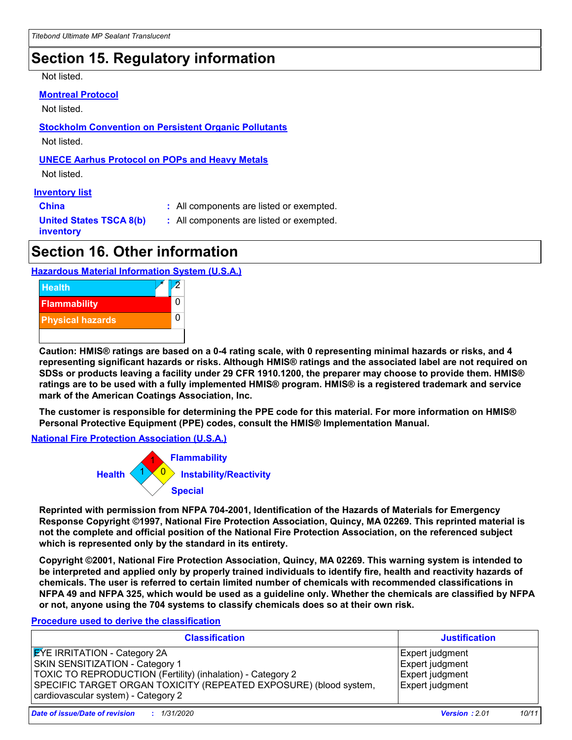### **Section 15. Regulatory information**

Not listed.

#### **Montreal Protocol**

Not listed.

**Stockholm Convention on Persistent Organic Pollutants**

Not listed.

### **UNECE Aarhus Protocol on POPs and Heavy Metals**

Not listed.

#### **Inventory list**

**China :** All components are listed or exempted.

**United States TSCA 8(b) inventory**

**:** All components are listed or exempted.

### **Section 16. Other information**

### **Hazardous Material Information System (U.S.A.)**



**Caution: HMIS® ratings are based on a 0-4 rating scale, with 0 representing minimal hazards or risks, and 4 representing significant hazards or risks. Although HMIS® ratings and the associated label are not required on SDSs or products leaving a facility under 29 CFR 1910.1200, the preparer may choose to provide them. HMIS® ratings are to be used with a fully implemented HMIS® program. HMIS® is a registered trademark and service mark of the American Coatings Association, Inc.**

**The customer is responsible for determining the PPE code for this material. For more information on HMIS® Personal Protective Equipment (PPE) codes, consult the HMIS® Implementation Manual.**

**National Fire Protection Association (U.S.A.)**



**Reprinted with permission from NFPA 704-2001, Identification of the Hazards of Materials for Emergency Response Copyright ©1997, National Fire Protection Association, Quincy, MA 02269. This reprinted material is not the complete and official position of the National Fire Protection Association, on the referenced subject which is represented only by the standard in its entirety.**

**Copyright ©2001, National Fire Protection Association, Quincy, MA 02269. This warning system is intended to be interpreted and applied only by properly trained individuals to identify fire, health and reactivity hazards of chemicals. The user is referred to certain limited number of chemicals with recommended classifications in NFPA 49 and NFPA 325, which would be used as a guideline only. Whether the chemicals are classified by NFPA or not, anyone using the 704 systems to classify chemicals does so at their own risk.**

### **Procedure used to derive the classification**

| <b>Classification</b>                                                                                                                                                                                                                                    | <b>Justification</b>                                                            |
|----------------------------------------------------------------------------------------------------------------------------------------------------------------------------------------------------------------------------------------------------------|---------------------------------------------------------------------------------|
| <b>EYE IRRITATION - Category 2A</b><br><b>SKIN SENSITIZATION - Category 1</b><br>TOXIC TO REPRODUCTION (Fertility) (inhalation) - Category 2<br>SPECIFIC TARGET ORGAN TOXICITY (REPEATED EXPOSURE) (blood system,<br>cardiovascular system) - Category 2 | Expert judgment<br>Expert judgment<br><b>Expert judgment</b><br>Expert judgment |